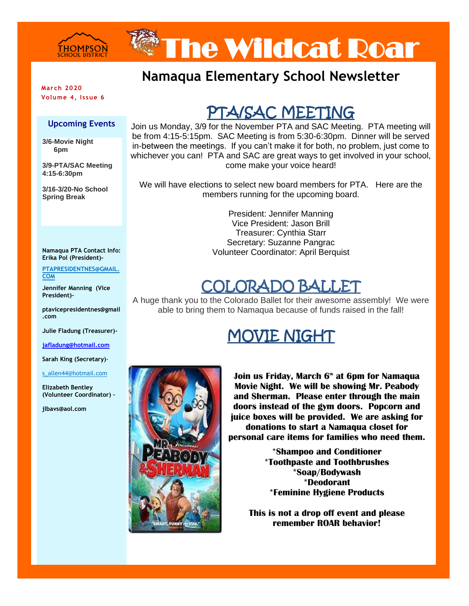

# The Wildcat Roar

### **Namaqua Elementary School Newsletter**

**March 2020 Volume 4, Issue 6**

#### **Upcoming Events**

**3/6-Movie Night 6pm** 

**3/9-PTA/SAC Meeting 4:15-6:30pm**

**3/16-3/20-No School Spring Break**

#### **Namaqua PTA Contact Info: Erika Pol (President)-**

**PTAPRESIDENTNES@GMAIL. COM**

**Jennifer Manning (Vice President)-**

**ptavicepresidentnes@gmail .com**

**Julie Fladung (Treasurer)-**

**[jafladung@hotmail.com](mailto:jafladung@hotmail.com)**

**Sarah King (Secretary)**-

#### s\_allen44@hotmail.com

**Elizabeth Bentley (Volunteer Coordinator) –**

**jlbavs@aol.com**

# PTA/SAC MEETING

Join us Monday, 3/9 for the November PTA and SAC Meeting. PTA meeting will be from 4:15-5:15pm. SAC Meeting is from 5:30-6:30pm. Dinner will be served in-between the meetings. If you can't make it for both, no problem, just come to whichever you can! PTA and SAC are great ways to get involved in your school, come make your voice heard!

We will have elections to select new board members for PTA. Here are the members running for the upcoming board.

> President: Jennifer Manning Vice President: Jason Brill Treasurer: Cynthia Starr Secretary: Suzanne Pangrac Volunteer Coordinator: April Berquist

### COLORADO BALLET

A huge thank you to the Colorado Ballet for their awesome assembly! We were able to bring them to Namaqua because of funds raised in the fall!

## MOVIE NIGHT



**Join us Friday, March 6th at 6pm for Namaqua Movie Night. We will be showing Mr. Peabody and Sherman. Please enter through the main doors instead of the gym doors. Popcorn and juice boxes will be provided. We are asking for donations to start a Namaqua closet for personal care items for families who need them.**

> **\*Shampoo and Conditioner \*Toothpaste and Toothbrushes \*Soap/Bodywash \*Deodorant \*Feminine Hygiene Products**

**This is not a drop off event and please remember ROAR behavior!**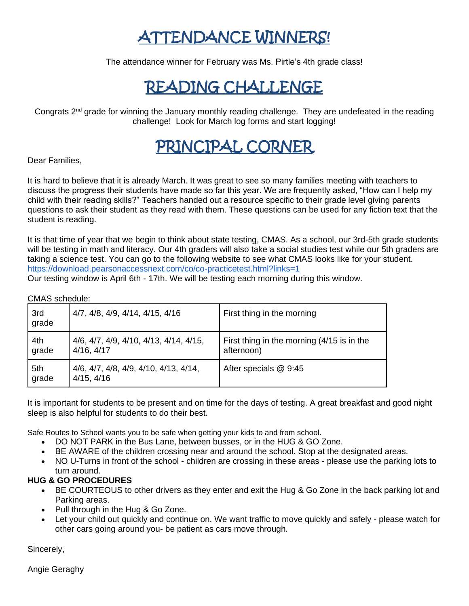# ATTENDANCE WINNERS!

The attendance winner for February was Ms. Pirtle's 4th grade class!

# READING CHALLENGE

Congrats  $2^{nd}$  grade for winning the January monthly reading challenge. They are undefeated in the reading challenge! Look for March log forms and start logging!

# PRINCIPAL CORNER

Dear Families,

It is hard to believe that it is already March. It was great to see so many families meeting with teachers to discuss the progress their students have made so far this year. We are frequently asked, "How can I help my child with their reading skills?" Teachers handed out a resource specific to their grade level giving parents questions to ask their student as they read with them. These questions can be used for any fiction text that the student is reading.

It is that time of year that we begin to think about state testing, CMAS. As a school, our 3rd-5th grade students will be testing in math and literacy. Our 4th graders will also take a social studies test while our 5th graders are taking a science test. You can go to the following website to see what CMAS looks like for your student. <https://download.pearsonaccessnext.com/co/co-practicetest.html?links=1>

Our testing window is April 6th - 17th. We will be testing each morning during this window.

#### CMAS schedule:

| 3rd<br>grade | 4/7, 4/8, 4/9, 4/14, 4/15, 4/16                      | First thing in the morning                               |
|--------------|------------------------------------------------------|----------------------------------------------------------|
| 4th<br>grade | 4/6, 4/7, 4/9, 4/10, 4/13, 4/14, 4/15,<br>4/16, 4/17 | First thing in the morning (4/15 is in the<br>afternoon) |
| 5th<br>grade | 4/6, 4/7, 4/8, 4/9, 4/10, 4/13, 4/14,<br>4/15, 4/16  | After specials @ 9:45                                    |

It is important for students to be present and on time for the days of testing. A great breakfast and good night sleep is also helpful for students to do their best.

Safe Routes to School wants you to be safe when getting your kids to and from school.

- DO NOT PARK in the Bus Lane, between busses, or in the HUG & GO Zone.
- BE AWARE of the children crossing near and around the school. Stop at the designated areas.
- NO U-Turns in front of the school children are crossing in these areas please use the parking lots to turn around.

#### **HUG & GO PROCEDURES**

- BE COURTEOUS to other drivers as they enter and exit the Hug & Go Zone in the back parking lot and Parking areas.
- Pull through in the Hug & Go Zone.
- Let your child out quickly and continue on. We want traffic to move quickly and safely please watch for other cars going around you- be patient as cars move through.

Sincerely,